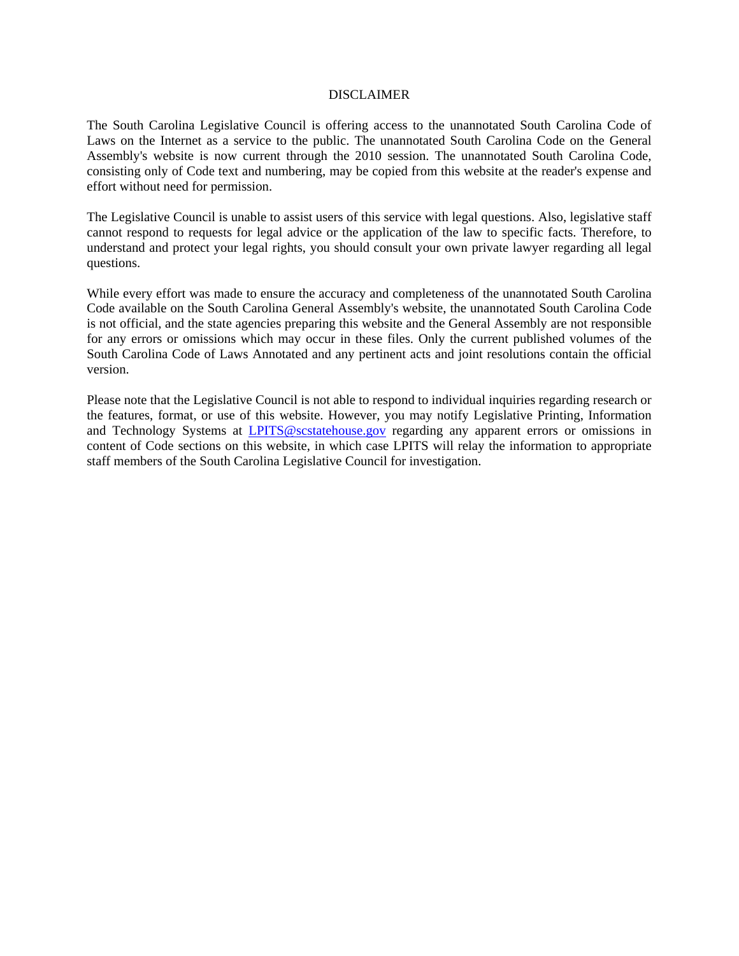### DISCLAIMER

The South Carolina Legislative Council is offering access to the unannotated South Carolina Code of Laws on the Internet as a service to the public. The unannotated South Carolina Code on the General Assembly's website is now current through the 2010 session. The unannotated South Carolina Code, consisting only of Code text and numbering, may be copied from this website at the reader's expense and effort without need for permission.

The Legislative Council is unable to assist users of this service with legal questions. Also, legislative staff cannot respond to requests for legal advice or the application of the law to specific facts. Therefore, to understand and protect your legal rights, you should consult your own private lawyer regarding all legal questions.

While every effort was made to ensure the accuracy and completeness of the unannotated South Carolina Code available on the South Carolina General Assembly's website, the unannotated South Carolina Code is not official, and the state agencies preparing this website and the General Assembly are not responsible for any errors or omissions which may occur in these files. Only the current published volumes of the South Carolina Code of Laws Annotated and any pertinent acts and joint resolutions contain the official version.

Please note that the Legislative Council is not able to respond to individual inquiries regarding research or the features, format, or use of this website. However, you may notify Legislative Printing, Information and Technology Systems at **LPITS@scstatehouse.gov** regarding any apparent errors or omissions in content of Code sections on this website, in which case LPITS will relay the information to appropriate staff members of the South Carolina Legislative Council for investigation.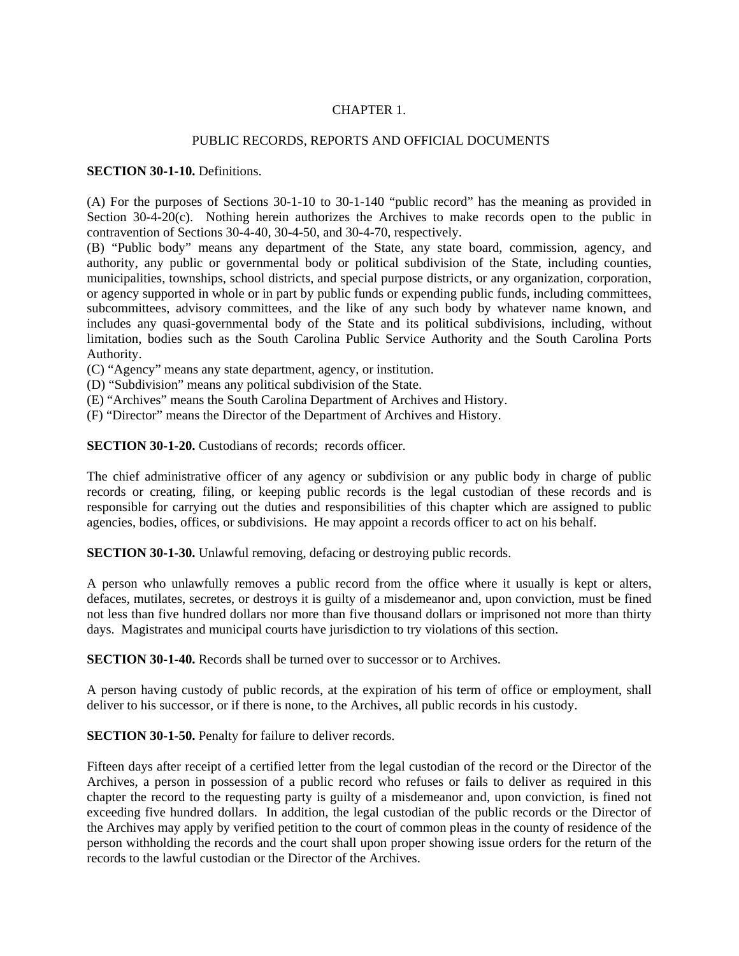# CHAPTER 1.

## PUBLIC RECORDS, REPORTS AND OFFICIAL DOCUMENTS

### **SECTION 30-1-10.** Definitions.

(A) For the purposes of Sections 30-1-10 to 30-1-140 "public record" has the meaning as provided in Section 30-4-20 $(c)$ . Nothing herein authorizes the Archives to make records open to the public in contravention of Sections 30-4-40, 30-4-50, and 30-4-70, respectively.

(B) "Public body" means any department of the State, any state board, commission, agency, and authority, any public or governmental body or political subdivision of the State, including counties, municipalities, townships, school districts, and special purpose districts, or any organization, corporation, or agency supported in whole or in part by public funds or expending public funds, including committees, subcommittees, advisory committees, and the like of any such body by whatever name known, and includes any quasi-governmental body of the State and its political subdivisions, including, without limitation, bodies such as the South Carolina Public Service Authority and the South Carolina Ports Authority.

(C) "Agency" means any state department, agency, or institution.

- (D) "Subdivision" means any political subdivision of the State.
- (E) "Archives" means the South Carolina Department of Archives and History.
- (F) "Director" means the Director of the Department of Archives and History.

**SECTION 30-1-20.** Custodians of records; records officer.

The chief administrative officer of any agency or subdivision or any public body in charge of public records or creating, filing, or keeping public records is the legal custodian of these records and is responsible for carrying out the duties and responsibilities of this chapter which are assigned to public agencies, bodies, offices, or subdivisions. He may appoint a records officer to act on his behalf.

**SECTION 30-1-30.** Unlawful removing, defacing or destroying public records.

A person who unlawfully removes a public record from the office where it usually is kept or alters, defaces, mutilates, secretes, or destroys it is guilty of a misdemeanor and, upon conviction, must be fined not less than five hundred dollars nor more than five thousand dollars or imprisoned not more than thirty days. Magistrates and municipal courts have jurisdiction to try violations of this section.

**SECTION 30-1-40.** Records shall be turned over to successor or to Archives.

A person having custody of public records, at the expiration of his term of office or employment, shall deliver to his successor, or if there is none, to the Archives, all public records in his custody.

**SECTION 30-1-50.** Penalty for failure to deliver records.

Fifteen days after receipt of a certified letter from the legal custodian of the record or the Director of the Archives, a person in possession of a public record who refuses or fails to deliver as required in this chapter the record to the requesting party is guilty of a misdemeanor and, upon conviction, is fined not exceeding five hundred dollars. In addition, the legal custodian of the public records or the Director of the Archives may apply by verified petition to the court of common pleas in the county of residence of the person withholding the records and the court shall upon proper showing issue orders for the return of the records to the lawful custodian or the Director of the Archives.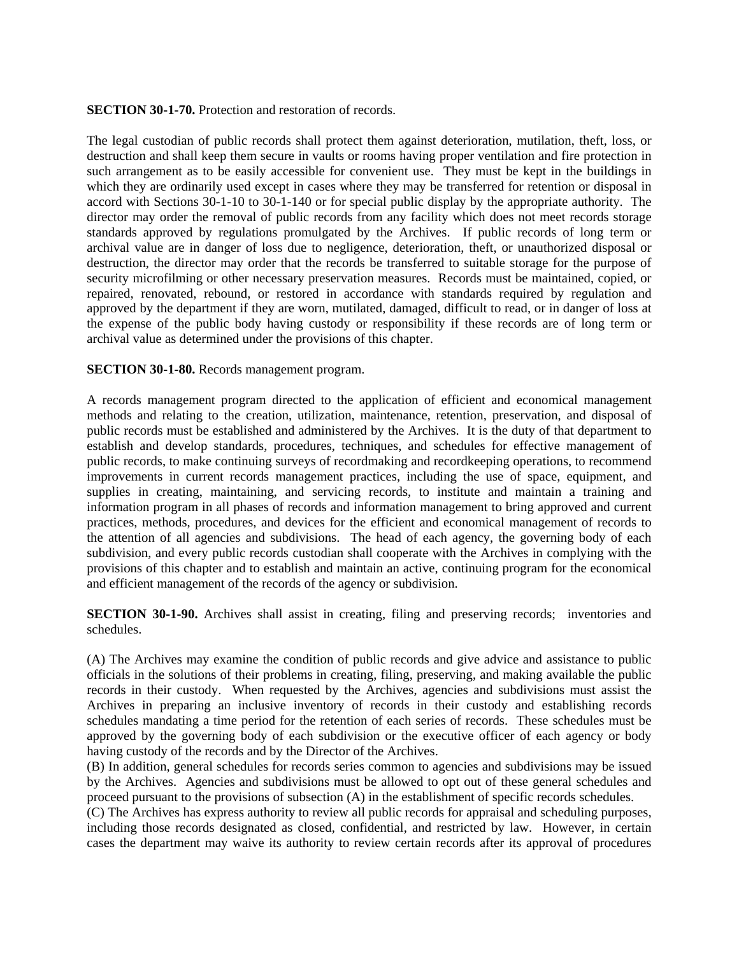**SECTION 30-1-70.** Protection and restoration of records.

The legal custodian of public records shall protect them against deterioration, mutilation, theft, loss, or destruction and shall keep them secure in vaults or rooms having proper ventilation and fire protection in such arrangement as to be easily accessible for convenient use. They must be kept in the buildings in which they are ordinarily used except in cases where they may be transferred for retention or disposal in accord with Sections 30-1-10 to 30-1-140 or for special public display by the appropriate authority. The director may order the removal of public records from any facility which does not meet records storage standards approved by regulations promulgated by the Archives. If public records of long term or archival value are in danger of loss due to negligence, deterioration, theft, or unauthorized disposal or destruction, the director may order that the records be transferred to suitable storage for the purpose of security microfilming or other necessary preservation measures. Records must be maintained, copied, or repaired, renovated, rebound, or restored in accordance with standards required by regulation and approved by the department if they are worn, mutilated, damaged, difficult to read, or in danger of loss at the expense of the public body having custody or responsibility if these records are of long term or archival value as determined under the provisions of this chapter.

### **SECTION 30-1-80.** Records management program.

A records management program directed to the application of efficient and economical management methods and relating to the creation, utilization, maintenance, retention, preservation, and disposal of public records must be established and administered by the Archives. It is the duty of that department to establish and develop standards, procedures, techniques, and schedules for effective management of public records, to make continuing surveys of recordmaking and recordkeeping operations, to recommend improvements in current records management practices, including the use of space, equipment, and supplies in creating, maintaining, and servicing records, to institute and maintain a training and information program in all phases of records and information management to bring approved and current practices, methods, procedures, and devices for the efficient and economical management of records to the attention of all agencies and subdivisions. The head of each agency, the governing body of each subdivision, and every public records custodian shall cooperate with the Archives in complying with the provisions of this chapter and to establish and maintain an active, continuing program for the economical and efficient management of the records of the agency or subdivision.

**SECTION 30-1-90.** Archives shall assist in creating, filing and preserving records; inventories and schedules.

(A) The Archives may examine the condition of public records and give advice and assistance to public officials in the solutions of their problems in creating, filing, preserving, and making available the public records in their custody. When requested by the Archives, agencies and subdivisions must assist the Archives in preparing an inclusive inventory of records in their custody and establishing records schedules mandating a time period for the retention of each series of records. These schedules must be approved by the governing body of each subdivision or the executive officer of each agency or body having custody of the records and by the Director of the Archives.

(B) In addition, general schedules for records series common to agencies and subdivisions may be issued by the Archives. Agencies and subdivisions must be allowed to opt out of these general schedules and proceed pursuant to the provisions of subsection (A) in the establishment of specific records schedules.

(C) The Archives has express authority to review all public records for appraisal and scheduling purposes, including those records designated as closed, confidential, and restricted by law. However, in certain cases the department may waive its authority to review certain records after its approval of procedures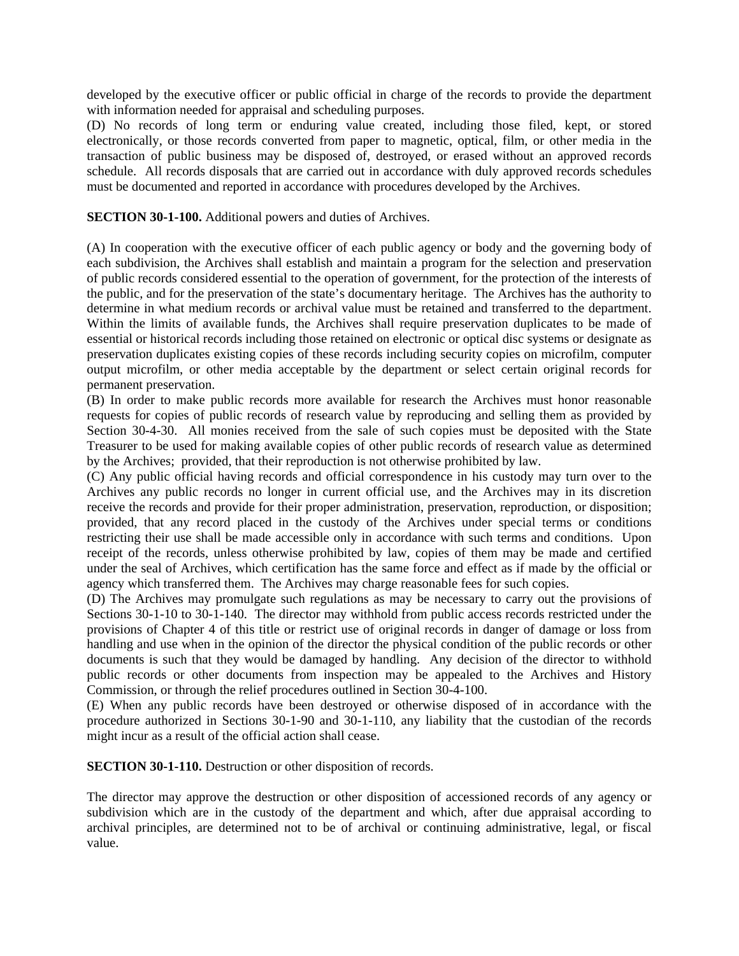developed by the executive officer or public official in charge of the records to provide the department with information needed for appraisal and scheduling purposes.

(D) No records of long term or enduring value created, including those filed, kept, or stored electronically, or those records converted from paper to magnetic, optical, film, or other media in the transaction of public business may be disposed of, destroyed, or erased without an approved records schedule. All records disposals that are carried out in accordance with duly approved records schedules must be documented and reported in accordance with procedures developed by the Archives.

**SECTION 30-1-100.** Additional powers and duties of Archives.

(A) In cooperation with the executive officer of each public agency or body and the governing body of each subdivision, the Archives shall establish and maintain a program for the selection and preservation of public records considered essential to the operation of government, for the protection of the interests of the public, and for the preservation of the state's documentary heritage. The Archives has the authority to determine in what medium records or archival value must be retained and transferred to the department. Within the limits of available funds, the Archives shall require preservation duplicates to be made of essential or historical records including those retained on electronic or optical disc systems or designate as preservation duplicates existing copies of these records including security copies on microfilm, computer output microfilm, or other media acceptable by the department or select certain original records for permanent preservation.

(B) In order to make public records more available for research the Archives must honor reasonable requests for copies of public records of research value by reproducing and selling them as provided by Section 30-4-30. All monies received from the sale of such copies must be deposited with the State Treasurer to be used for making available copies of other public records of research value as determined by the Archives; provided, that their reproduction is not otherwise prohibited by law.

(C) Any public official having records and official correspondence in his custody may turn over to the Archives any public records no longer in current official use, and the Archives may in its discretion receive the records and provide for their proper administration, preservation, reproduction, or disposition; provided, that any record placed in the custody of the Archives under special terms or conditions restricting their use shall be made accessible only in accordance with such terms and conditions. Upon receipt of the records, unless otherwise prohibited by law, copies of them may be made and certified under the seal of Archives, which certification has the same force and effect as if made by the official or agency which transferred them. The Archives may charge reasonable fees for such copies.

(D) The Archives may promulgate such regulations as may be necessary to carry out the provisions of Sections 30-1-10 to 30-1-140. The director may withhold from public access records restricted under the provisions of Chapter 4 of this title or restrict use of original records in danger of damage or loss from handling and use when in the opinion of the director the physical condition of the public records or other documents is such that they would be damaged by handling. Any decision of the director to withhold public records or other documents from inspection may be appealed to the Archives and History Commission, or through the relief procedures outlined in Section 30-4-100.

(E) When any public records have been destroyed or otherwise disposed of in accordance with the procedure authorized in Sections 30-1-90 and 30-1-110, any liability that the custodian of the records might incur as a result of the official action shall cease.

**SECTION 30-1-110.** Destruction or other disposition of records.

The director may approve the destruction or other disposition of accessioned records of any agency or subdivision which are in the custody of the department and which, after due appraisal according to archival principles, are determined not to be of archival or continuing administrative, legal, or fiscal value.